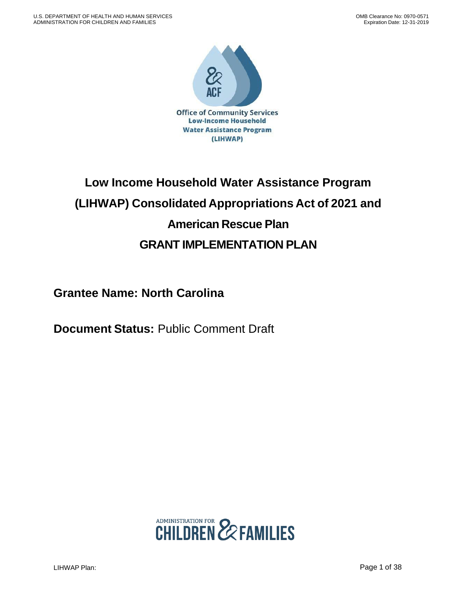

# **Low Income Household Water Assistance Program (LIHWAP) Consolidated Appropriations Act of 2021 and American Rescue Plan GRANT IMPLEMENTATION PLAN**

**Grantee Name: North Carolina**

**Document Status:** Public Comment Draft

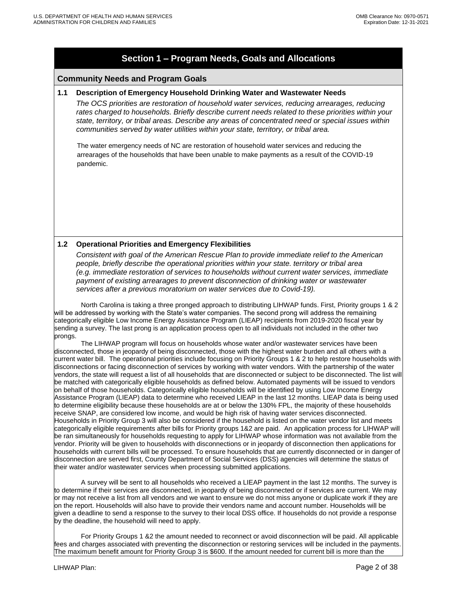## **Section 1 – Program Needs, Goals and Allocations**

#### **Community Needs and Program Goals**

#### **1.1 Description of Emergency Household Drinking Water and Wastewater Needs**

*The OCS priorities are restoration of household water services, reducing arrearages, reducing rates charged to households. Briefly describe current needs related to these priorities within your state, territory, or tribal areas. Describe any areas of concentrated need or special issues within communities served by water utilities within your state, territory, or tribal area.*

The water emergency needs of NC are restoration of household water services and reducing the arrearages of the households that have been unable to make payments as a result of the COVID-19 pandemic.

#### **1.2 Operational Priorities and Emergency Flexibilities**

*Consistent with goal of the American Rescue Plan to provide immediate relief to the American people, briefly describe the operational priorities within your state. territory or tribal area (e.g. immediate restoration of services to households without current water services, immediate payment of existing arrearages to prevent disconnection of drinking water or wastewater services after a previous moratorium on water services due to Covid-19).*

North Carolina is taking a three pronged approach to distributing LIHWAP funds. First, Priority groups 1 & 2 will be addressed by working with the State's water companies. The second prong will address the remaining categorically eligible Low Income Energy Assistance Program (LIEAP) recipients from 2019-2020 fiscal year by sending a survey. The last prong is an application process open to all individuals not included in the other two prongs.

The LIHWAP program will focus on households whose water and/or wastewater services have been disconnected, those in jeopardy of being disconnected, those with the highest water burden and all others with a current water bill. The operational priorities include focusing on Priority Groups 1 & 2 to help restore households with disconnections or facing disconnection of services by working with water vendors. With the partnership of the water vendors, the state will request a list of all households that are disconnected or subject to be disconnected. The list will be matched with categorically eligible households as defined below. Automated payments will be issued to vendors on behalf of those households. Categorically eligible households will be identified by using Low Income Energy Assistance Program (LIEAP) data to determine who received LIEAP in the last 12 months. LIEAP data is being used to determine eligibility because these households are at or below the 130% FPL, the majority of these households receive SNAP, are considered low income, and would be high risk of having water services disconnected. Households in Priority Group 3 will also be considered if the household is listed on the water vendor list and meets categorically eligible requirements after bills for Priority groups 1&2 are paid. An application process for LIHWAP will be ran simultaneously for households requesting to apply for LIHWAP whose information was not available from the vendor. Priority will be given to households with disconnections or in jeopardy of disconnection then applications for households with current bills will be processed. To ensure households that are currently disconnected or in danger of disconnection are served first, County Department of Social Services (DSS) agencies will determine the status of their water and/or wastewater services when processing submitted applications.

A survey will be sent to all households who received a LIEAP payment in the last 12 months. The survey is to determine if their services are disconnected, in jeopardy of being disconnected or if services are current. We may or may not receive a list from all vendors and we want to ensure we do not miss anyone or duplicate work if they are on the report. Households will also have to provide their vendors name and account number. Households will be given a deadline to send a response to the survey to their local DSS office. If households do not provide a response by the deadline, the household will need to apply.

For Priority Groups 1 &2 the amount needed to reconnect or avoid disconnection will be paid. All applicable fees and charges associated with preventing the disconnection or restoring services will be included in the payments. The maximum benefit amount for Priority Group 3 is \$600. If the amount needed for current bill is more than the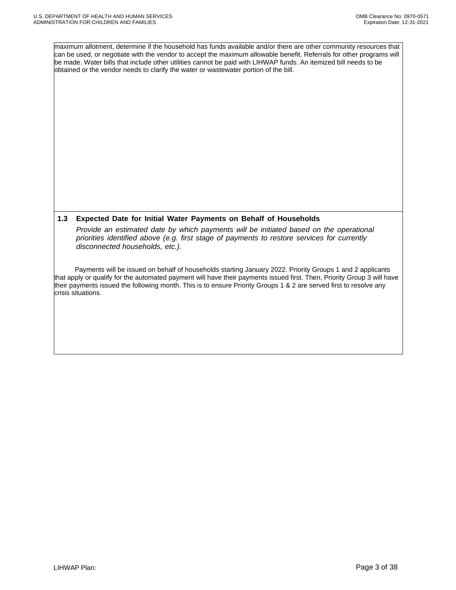| maximum allotment, determine if the household has funds available and/or there are other community resources that<br>can be used, or negotiate with the vendor to accept the maximum allowable benefit. Referrals for other programs will<br>be made. Water bills that include other utilities cannot be paid with LIHWAP funds. An itemized bill needs to be<br>obtained or the vendor needs to clarify the water or wastewater portion of the bill. |
|-------------------------------------------------------------------------------------------------------------------------------------------------------------------------------------------------------------------------------------------------------------------------------------------------------------------------------------------------------------------------------------------------------------------------------------------------------|
| Expected Date for Initial Water Payments on Behalf of Households                                                                                                                                                                                                                                                                                                                                                                                      |
| Provide an estimated date by which payments will be initiated based on the operational<br>priorities identified above (e.g. first stage of payments to restore services for currently<br>disconnected households, etc.).                                                                                                                                                                                                                              |
| Payments will be issued on behalf of households starting January 2022. Priority Groups 1 and 2 applicants<br>that apply or qualify for the automated payment will have their payments issued first. Then, Priority Group 3 will have<br>their payments issued the following month. This is to ensure Priority Groups 1 & 2 are served first to resolve any<br>crisis situations.                                                                      |
|                                                                                                                                                                                                                                                                                                                                                                                                                                                       |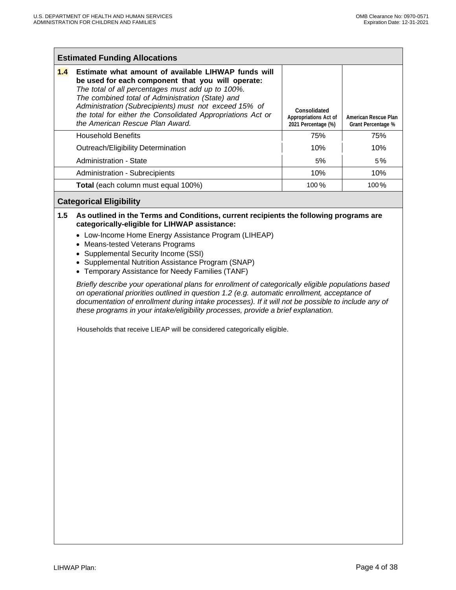|     | <b>Estimated Funding Allocations</b>                                                                                                                                                                                                                                                                                                                                         |                                                                     |                                                   |  |  |
|-----|------------------------------------------------------------------------------------------------------------------------------------------------------------------------------------------------------------------------------------------------------------------------------------------------------------------------------------------------------------------------------|---------------------------------------------------------------------|---------------------------------------------------|--|--|
| 1.4 | Estimate what amount of available LIHWAP funds will<br>be used for each component that you will operate:<br>The total of all percentages must add up to 100%.<br>The combined total of Administration (State) and<br>Administration (Subrecipients) must not exceed 15% of<br>the total for either the Consolidated Appropriations Act or<br>the American Rescue Plan Award. | Consolidated<br><b>Appropriations Act of</b><br>2021 Percentage (%) | American Rescue Plan<br><b>Grant Percentage %</b> |  |  |
|     | <b>Household Benefits</b>                                                                                                                                                                                                                                                                                                                                                    | 75%                                                                 | 75%                                               |  |  |
|     | Outreach/Eligibility Determination                                                                                                                                                                                                                                                                                                                                           | 10%                                                                 | 10%                                               |  |  |
|     | Administration - State                                                                                                                                                                                                                                                                                                                                                       | 5%                                                                  | 5%                                                |  |  |
|     | <b>Administration - Subrecipients</b>                                                                                                                                                                                                                                                                                                                                        | 10%                                                                 | 10%                                               |  |  |
|     | Total (each column must equal 100%)                                                                                                                                                                                                                                                                                                                                          | $100\%$                                                             | $100\%$                                           |  |  |

#### **Categorical Eligibility**

**1.5 As outlined in the Terms and Conditions, current recipients the following programs are categorically-eligible for LIHWAP assistance:**

- Low-Income Home Energy Assistance Program (LIHEAP)
- Means-tested Veterans Programs
- Supplemental Security Income (SSI)
- Supplemental Nutrition Assistance Program (SNAP)
- Temporary Assistance for Needy Families (TANF)

*Briefly describe your operational plans for enrollment of categorically eligible populations based on operational priorities outlined in question 1.2 (e.g. automatic enrollment, acceptance of documentation of enrollment during intake processes). If it will not be possible to include any of these programs in your intake/eligibility processes, provide a brief explanation.*

Households that receive LIEAP will be considered categorically eligible.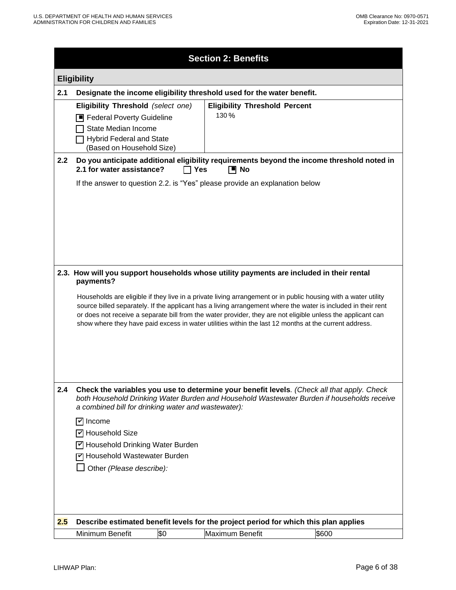|     | <b>Section 2: Benefits</b>                                                                                                                                                                 |                                                                                                                                                                                                                                                                                                                                                                                                                                                                                                                                                     |  |  |  |
|-----|--------------------------------------------------------------------------------------------------------------------------------------------------------------------------------------------|-----------------------------------------------------------------------------------------------------------------------------------------------------------------------------------------------------------------------------------------------------------------------------------------------------------------------------------------------------------------------------------------------------------------------------------------------------------------------------------------------------------------------------------------------------|--|--|--|
|     | <b>Eligibility</b>                                                                                                                                                                         |                                                                                                                                                                                                                                                                                                                                                                                                                                                                                                                                                     |  |  |  |
| 2.1 | Designate the income eligibility threshold used for the water benefit.                                                                                                                     |                                                                                                                                                                                                                                                                                                                                                                                                                                                                                                                                                     |  |  |  |
|     | Eligibility Threshold (select one)<br>■ Federal Poverty Guideline<br>State Median Income<br><b>Hybrid Federal and State</b><br>(Based on Household Size)                                   | <b>Eligibility Threshold Percent</b><br>130 %                                                                                                                                                                                                                                                                                                                                                                                                                                                                                                       |  |  |  |
| 2.2 | 2.1 for water assistance?<br>ן Yes                                                                                                                                                         | Do you anticipate additional eligibility requirements beyond the income threshold noted in<br>$\blacksquare$ No                                                                                                                                                                                                                                                                                                                                                                                                                                     |  |  |  |
|     | If the answer to question 2.2. is "Yes" please provide an explanation below                                                                                                                |                                                                                                                                                                                                                                                                                                                                                                                                                                                                                                                                                     |  |  |  |
|     | payments?                                                                                                                                                                                  | 2.3. How will you support households whose utility payments are included in their rental<br>Households are eligible if they live in a private living arrangement or in public housing with a water utility<br>source billed separately. If the applicant has a living arrangement where the water is included in their rent<br>or does not receive a separate bill from the water provider, they are not eligible unless the applicant can<br>show where they have paid excess in water utilities within the last 12 months at the current address. |  |  |  |
| 2.4 | a combined bill for drinking water and wastewater):<br><b>☑</b> Income<br>D Household Size<br>7 Household Drinking Water Burden<br>Household Wastewater Burden<br>Other (Please describe): | Check the variables you use to determine your benefit levels. (Check all that apply. Check<br>both Household Drinking Water Burden and Household Wastewater Burden if households receive                                                                                                                                                                                                                                                                                                                                                            |  |  |  |
| 2.5 |                                                                                                                                                                                            | Describe estimated benefit levels for the project period for which this plan applies                                                                                                                                                                                                                                                                                                                                                                                                                                                                |  |  |  |
|     | Minimum Benefit<br>\$0                                                                                                                                                                     | \$600<br>Maximum Benefit                                                                                                                                                                                                                                                                                                                                                                                                                                                                                                                            |  |  |  |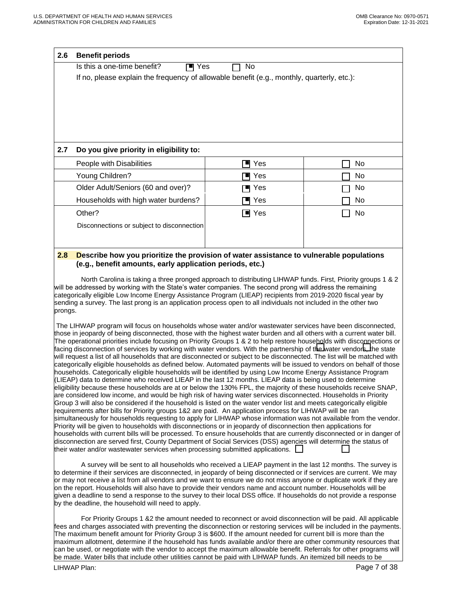| 2.6                                                                                                                                                                                                                                   | <b>Benefit periods</b>                                                                                                                                                                                                                           |    |        |    |  |
|---------------------------------------------------------------------------------------------------------------------------------------------------------------------------------------------------------------------------------------|--------------------------------------------------------------------------------------------------------------------------------------------------------------------------------------------------------------------------------------------------|----|--------|----|--|
|                                                                                                                                                                                                                                       | Is this a one-time benefit?<br>$\blacksquare$ Yes                                                                                                                                                                                                | No |        |    |  |
|                                                                                                                                                                                                                                       | If no, please explain the frequency of allowable benefit (e.g., monthly, quarterly, etc.):                                                                                                                                                       |    |        |    |  |
|                                                                                                                                                                                                                                       |                                                                                                                                                                                                                                                  |    |        |    |  |
|                                                                                                                                                                                                                                       |                                                                                                                                                                                                                                                  |    |        |    |  |
|                                                                                                                                                                                                                                       |                                                                                                                                                                                                                                                  |    |        |    |  |
|                                                                                                                                                                                                                                       |                                                                                                                                                                                                                                                  |    |        |    |  |
| 2.7                                                                                                                                                                                                                                   | Do you give priority in eligibility to:                                                                                                                                                                                                          |    |        |    |  |
|                                                                                                                                                                                                                                       | People with Disabilities                                                                                                                                                                                                                         | щ  | Yes    | No |  |
|                                                                                                                                                                                                                                       | Young Children?                                                                                                                                                                                                                                  |    | Yes    | No |  |
|                                                                                                                                                                                                                                       | Older Adult/Seniors (60 and over)?                                                                                                                                                                                                               |    | Yes    | No |  |
|                                                                                                                                                                                                                                       | Households with high water burdens?                                                                                                                                                                                                              |    | Yes    | No |  |
|                                                                                                                                                                                                                                       | Other?                                                                                                                                                                                                                                           |    | l■ Yes | No |  |
|                                                                                                                                                                                                                                       | Disconnections or subject to disconnection                                                                                                                                                                                                       |    |        |    |  |
|                                                                                                                                                                                                                                       |                                                                                                                                                                                                                                                  |    |        |    |  |
| 2.8                                                                                                                                                                                                                                   | <b>Describe how you prioritize the provision of water assistance to vulnerable populations</b>                                                                                                                                                   |    |        |    |  |
|                                                                                                                                                                                                                                       | (e.g., benefit amounts, early application periods, etc.)                                                                                                                                                                                         |    |        |    |  |
|                                                                                                                                                                                                                                       | North Carolina is taking a three pronged approach to distributing LIHWAP funds. First, Priority groups 1 & 2                                                                                                                                     |    |        |    |  |
|                                                                                                                                                                                                                                       | will be addressed by working with the State's water companies. The second prong will address the remaining                                                                                                                                       |    |        |    |  |
|                                                                                                                                                                                                                                       | categorically eligible Low Income Energy Assistance Program (LIEAP) recipients from 2019-2020 fiscal year by<br>sending a survey. The last prong is an application process open to all individuals not included in the other two                 |    |        |    |  |
| prongs.                                                                                                                                                                                                                               |                                                                                                                                                                                                                                                  |    |        |    |  |
|                                                                                                                                                                                                                                       | The LIHWAP program will focus on households whose water and/or wastewater services have been disconnected,                                                                                                                                       |    |        |    |  |
|                                                                                                                                                                                                                                       | those in jeopardy of being disconnected, those with the highest water burden and all others with a current water bill.<br>The operational priorities include focusing on Priority Groups 1 & 2 to help restore housebolds with disconnections or |    |        |    |  |
|                                                                                                                                                                                                                                       | facing disconnection of services by working with water vendors. With the partnership of the water vendors, the state                                                                                                                             |    |        |    |  |
|                                                                                                                                                                                                                                       | will request a list of all households that are disconnected or subject to be disconnected. The list will be matched with<br>categorically eligible households as defined below. Automated payments will be issued to vendors on behalf of those  |    |        |    |  |
|                                                                                                                                                                                                                                       | households. Categorically eligible households will be identified by using Low Income Energy Assistance Program                                                                                                                                   |    |        |    |  |
|                                                                                                                                                                                                                                       | (LIEAP) data to determine who received LIEAP in the last 12 months. LIEAP data is being used to determine<br>eligibility because these households are at or below the 130% FPL, the majority of these households receive SNAP,                   |    |        |    |  |
|                                                                                                                                                                                                                                       | are considered low income, and would be high risk of having water services disconnected. Households in Priority                                                                                                                                  |    |        |    |  |
|                                                                                                                                                                                                                                       | Group 3 will also be considered if the household is listed on the water vendor list and meets categorically eligible<br>requirements after bills for Priority groups 1&2 are paid. An application process for LIHWAP will be ran                 |    |        |    |  |
|                                                                                                                                                                                                                                       | simultaneously for households requesting to apply for LIHWAP whose information was not available from the vendor.                                                                                                                                |    |        |    |  |
|                                                                                                                                                                                                                                       | Priority will be given to households with disconnections or in jeopardy of disconnection then applications for<br>households with current bills will be processed. To ensure households that are currently disconnected or in danger of          |    |        |    |  |
|                                                                                                                                                                                                                                       | disconnection are served first, County Department of Social Services (DSS) agencies will determine the status of                                                                                                                                 |    |        |    |  |
|                                                                                                                                                                                                                                       | their water and/or wastewater services when processing submitted applications. L                                                                                                                                                                 |    |        |    |  |
|                                                                                                                                                                                                                                       | A survey will be sent to all households who received a LIEAP payment in the last 12 months. The survey is<br>to determine if their services are disconnected, in jeopardy of being disconnected or if services are current. We may               |    |        |    |  |
|                                                                                                                                                                                                                                       | or may not receive a list from all vendors and we want to ensure we do not miss anyone or duplicate work if they are                                                                                                                             |    |        |    |  |
| on the report. Households will also have to provide their vendors name and account number. Households will be<br>given a deadline to send a response to the survey to their local DSS office. If households do not provide a response |                                                                                                                                                                                                                                                  |    |        |    |  |
|                                                                                                                                                                                                                                       | by the deadline, the household will need to apply.                                                                                                                                                                                               |    |        |    |  |
|                                                                                                                                                                                                                                       | For Priority Groups 1 &2 the amount needed to reconnect or avoid disconnection will be paid. All applicable                                                                                                                                      |    |        |    |  |
|                                                                                                                                                                                                                                       | fees and charges associated with preventing the disconnection or restoring services will be included in the payments.                                                                                                                            |    |        |    |  |
|                                                                                                                                                                                                                                       | The maximum benefit amount for Priority Group 3 is \$600. If the amount needed for current bill is more than the<br>maximum allotment, determine if the household has funds available and/or there are other community resources that            |    |        |    |  |
| can be used, or negotiate with the vendor to accept the maximum allowable benefit. Referrals for other programs will                                                                                                                  |                                                                                                                                                                                                                                                  |    |        |    |  |

be made. Water bills that include other utilities cannot be paid with LIHWAP funds. An itemized bill needs to be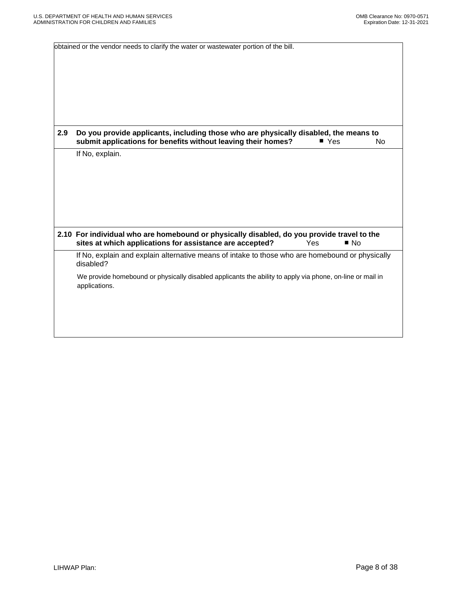| obtained or the vendor needs to clarify the water or wastewater portion of the bill.                                                                                               |  |  |  |  |
|------------------------------------------------------------------------------------------------------------------------------------------------------------------------------------|--|--|--|--|
| Do you provide applicants, including those who are physically disabled, the means to<br>submit applications for benefits without leaving their homes?<br>$\blacksquare$ Yes<br>No  |  |  |  |  |
| If No, explain.                                                                                                                                                                    |  |  |  |  |
| 2.10 For individual who are homebound or physically disabled, do you provide travel to the<br>sites at which applications for assistance are accepted?<br>Yes<br>$\blacksquare$ No |  |  |  |  |
| If No, explain and explain alternative means of intake to those who are homebound or physically<br>disabled?                                                                       |  |  |  |  |
| We provide homebound or physically disabled applicants the ability to apply via phone, on-line or mail in<br>applications.                                                         |  |  |  |  |
|                                                                                                                                                                                    |  |  |  |  |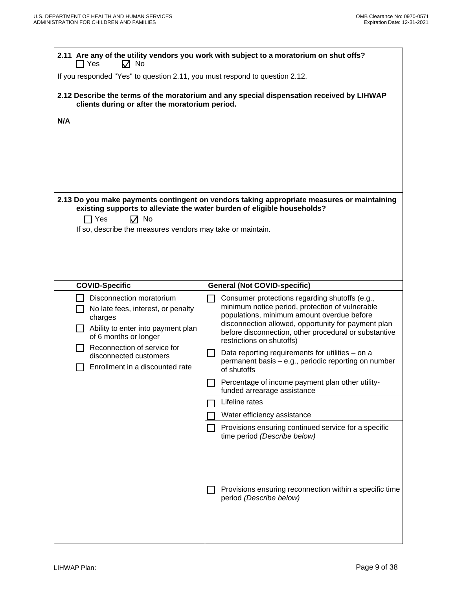| 2.11 Are any of the utility vendors you work with subject to a moratorium on shut offs?<br>ヿ Yes<br>M No                                 |                                                                                                                                                                                                                                                                                              |  |  |
|------------------------------------------------------------------------------------------------------------------------------------------|----------------------------------------------------------------------------------------------------------------------------------------------------------------------------------------------------------------------------------------------------------------------------------------------|--|--|
| If you responded "Yes" to question 2.11, you must respond to question 2.12.                                                              |                                                                                                                                                                                                                                                                                              |  |  |
| clients during or after the moratorium period.                                                                                           | 2.12 Describe the terms of the moratorium and any special dispensation received by LIHWAP                                                                                                                                                                                                    |  |  |
| N/A                                                                                                                                      | 2.13 Do you make payments contingent on vendors taking appropriate measures or maintaining                                                                                                                                                                                                   |  |  |
| existing supports to alleviate the water burden of eligible households?<br>Yes<br>No                                                     |                                                                                                                                                                                                                                                                                              |  |  |
| If so, describe the measures vendors may take or maintain.                                                                               |                                                                                                                                                                                                                                                                                              |  |  |
| <b>COVID-Specific</b>                                                                                                                    | <b>General (Not COVID-specific)</b>                                                                                                                                                                                                                                                          |  |  |
| Disconnection moratorium<br>No late fees, interest, or penalty<br>charges<br>Ability to enter into payment plan<br>of 6 months or longer | Consumer protections regarding shutoffs (e.g.,<br>minimum notice period, protection of vulnerable<br>populations, minimum amount overdue before<br>disconnection allowed, opportunity for payment plan<br>before disconnection, other procedural or substantive<br>restrictions on shutoffs) |  |  |
| Reconnection of service for<br>disconnected customers<br>Enrollment in a discounted rate                                                 | Data reporting requirements for utilities - on a<br>permanent basis - e.g., periodic reporting on number<br>of shutoffs                                                                                                                                                                      |  |  |
|                                                                                                                                          | Percentage of income payment plan other utility-<br>funded arrearage assistance                                                                                                                                                                                                              |  |  |
|                                                                                                                                          | Lifeline rates                                                                                                                                                                                                                                                                               |  |  |
|                                                                                                                                          | Water efficiency assistance                                                                                                                                                                                                                                                                  |  |  |
|                                                                                                                                          | Provisions ensuring continued service for a specific<br>time period (Describe below)                                                                                                                                                                                                         |  |  |
|                                                                                                                                          |                                                                                                                                                                                                                                                                                              |  |  |
|                                                                                                                                          | Provisions ensuring reconnection within a specific time<br>period (Describe below)                                                                                                                                                                                                           |  |  |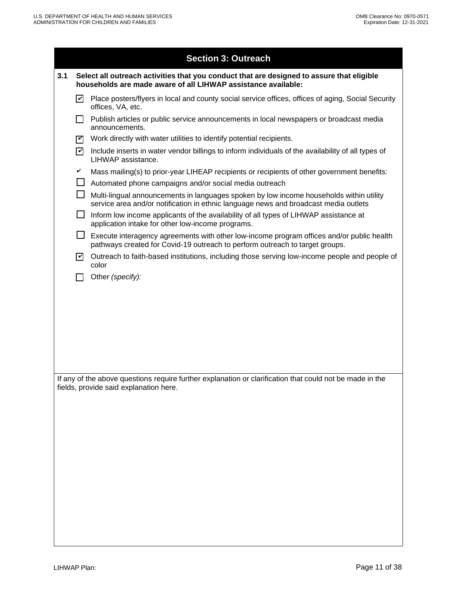|     | <b>Section 3: Outreach</b>                                                                                                                                 |                                                                                                                                                                                 |  |  |  |
|-----|------------------------------------------------------------------------------------------------------------------------------------------------------------|---------------------------------------------------------------------------------------------------------------------------------------------------------------------------------|--|--|--|
| 3.1 | Select all outreach activities that you conduct that are designed to assure that eligible<br>households are made aware of all LIHWAP assistance available: |                                                                                                                                                                                 |  |  |  |
|     | $\overline{\phantom{a}}$                                                                                                                                   | Place posters/flyers in local and county social service offices, offices of aging, Social Security<br>offices, VA, etc.                                                         |  |  |  |
|     |                                                                                                                                                            | Publish articles or public service announcements in local newspapers or broadcast media<br>announcements.                                                                       |  |  |  |
|     | び                                                                                                                                                          | Work directly with water utilities to identify potential recipients.                                                                                                            |  |  |  |
|     | जि                                                                                                                                                         | Include inserts in water vendor billings to inform individuals of the availability of all types of<br>LIHWAP assistance.                                                        |  |  |  |
|     | V                                                                                                                                                          | Mass mailing(s) to prior-year LIHEAP recipients or recipients of other government benefits:                                                                                     |  |  |  |
|     | $\Box$                                                                                                                                                     | Automated phone campaigns and/or social media outreach                                                                                                                          |  |  |  |
|     |                                                                                                                                                            | Multi-lingual announcements in languages spoken by low income households within utility<br>service area and/or notification in ethnic language news and broadcast media outlets |  |  |  |
|     |                                                                                                                                                            | Inform low income applicants of the availability of all types of LIHWAP assistance at<br>application intake for other low-income programs.                                      |  |  |  |
|     | ∟                                                                                                                                                          | Execute interagency agreements with other low-income program offices and/or public health<br>pathways created for Covid-19 outreach to perform outreach to target groups.       |  |  |  |
|     | ∽                                                                                                                                                          | Outreach to faith-based institutions, including those serving low-income people and people of<br>color                                                                          |  |  |  |
|     |                                                                                                                                                            | Other (specify):                                                                                                                                                                |  |  |  |
|     |                                                                                                                                                            |                                                                                                                                                                                 |  |  |  |
|     |                                                                                                                                                            | If any of the above questions require further explanation or clarification that could not be made in the<br>fields, provide said explanation here.                              |  |  |  |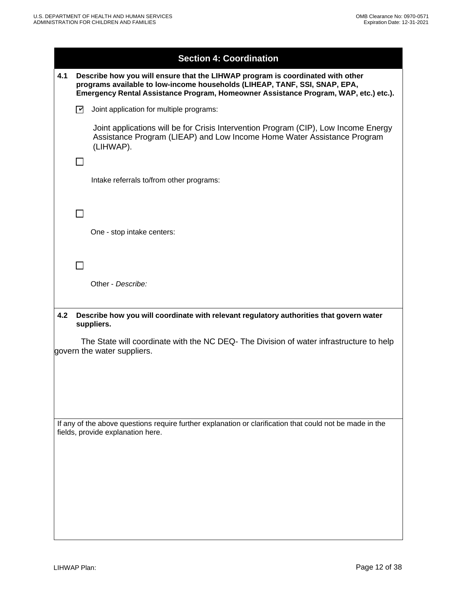|     |                      | <b>Section 4: Coordination</b>                                                                                                                                                                                                                       |
|-----|----------------------|------------------------------------------------------------------------------------------------------------------------------------------------------------------------------------------------------------------------------------------------------|
| 4.1 |                      | Describe how you will ensure that the LIHWAP program is coordinated with other<br>programs available to low-income households (LIHEAP, TANF, SSI, SNAP, EPA,<br>Emergency Rental Assistance Program, Homeowner Assistance Program, WAP, etc.) etc.). |
|     | $\blacktriangledown$ | Joint application for multiple programs:                                                                                                                                                                                                             |
|     |                      | Joint applications will be for Crisis Intervention Program (CIP), Low Income Energy<br>Assistance Program (LIEAP) and Low Income Home Water Assistance Program<br>(LIHWAP).                                                                          |
|     |                      |                                                                                                                                                                                                                                                      |
|     |                      | Intake referrals to/from other programs:                                                                                                                                                                                                             |
|     |                      |                                                                                                                                                                                                                                                      |
|     |                      |                                                                                                                                                                                                                                                      |
|     |                      | One - stop intake centers:                                                                                                                                                                                                                           |
|     |                      |                                                                                                                                                                                                                                                      |
|     |                      |                                                                                                                                                                                                                                                      |
|     |                      | Other - Describe:                                                                                                                                                                                                                                    |
| 4.2 |                      | Describe how you will coordinate with relevant regulatory authorities that govern water                                                                                                                                                              |
|     |                      | suppliers.                                                                                                                                                                                                                                           |
|     |                      | The State will coordinate with the NC DEQ- The Division of water infrastructure to help<br>govern the water suppliers.                                                                                                                               |
|     |                      |                                                                                                                                                                                                                                                      |
|     |                      |                                                                                                                                                                                                                                                      |
|     |                      |                                                                                                                                                                                                                                                      |
|     |                      | If any of the above questions require further explanation or clarification that could not be made in the                                                                                                                                             |
|     |                      | fields, provide explanation here.                                                                                                                                                                                                                    |
|     |                      |                                                                                                                                                                                                                                                      |
|     |                      |                                                                                                                                                                                                                                                      |
|     |                      |                                                                                                                                                                                                                                                      |
|     |                      |                                                                                                                                                                                                                                                      |
|     |                      |                                                                                                                                                                                                                                                      |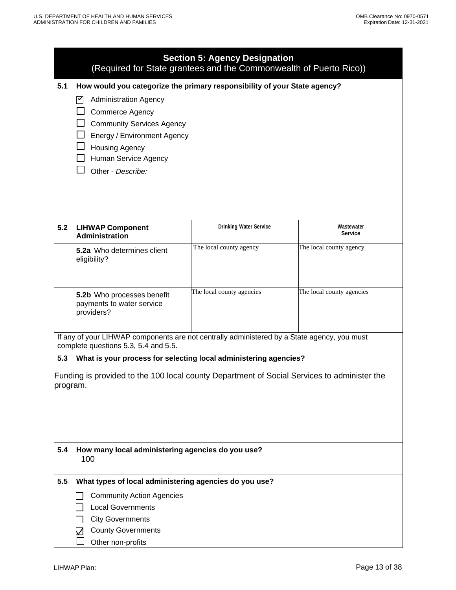|     | <b>Section 5: Agency Designation</b><br>(Required for State grantees and the Commonwealth of Puerto Rico))                                                                                                                                                                                               |                               |                              |  |  |
|-----|----------------------------------------------------------------------------------------------------------------------------------------------------------------------------------------------------------------------------------------------------------------------------------------------------------|-------------------------------|------------------------------|--|--|
| 5.1 | How would you categorize the primary responsibility of your State agency?<br><b>Administration Agency</b><br>☑<br><b>Commerce Agency</b><br><b>Community Services Agency</b><br><b>Energy / Environment Agency</b><br>$\mathbf{I}$<br><b>Housing Agency</b><br>Human Service Agency<br>Other - Describe: |                               |                              |  |  |
| 5.2 | <b>LIHWAP Component</b><br><b>Administration</b>                                                                                                                                                                                                                                                         | <b>Drinking Water Service</b> | Wastewater<br><b>Service</b> |  |  |
|     | 5.2a Who determines client<br>eligibility?                                                                                                                                                                                                                                                               | The local county agency       | The local county agency      |  |  |
|     | 5.2b Who processes benefit<br>payments to water service<br>providers?                                                                                                                                                                                                                                    | The local county agencies     | The local county agencies    |  |  |
|     | If any of your LIHWAP components are not centrally administered by a State agency, you must<br>complete questions 5.3, 5.4 and 5.5.                                                                                                                                                                      |                               |                              |  |  |
| 5.3 | What is your process for selecting local administering agencies?                                                                                                                                                                                                                                         |                               |                              |  |  |
|     | Funding is provided to the 100 local county Department of Social Services to administer the<br>program.                                                                                                                                                                                                  |                               |                              |  |  |
| 5.4 | How many local administering agencies do you use?<br>100                                                                                                                                                                                                                                                 |                               |                              |  |  |
| 5.5 | What types of local administering agencies do you use?<br><b>Community Action Agencies</b><br><b>Local Governments</b><br><b>City Governments</b><br><b>County Governments</b><br>V<br>Other non-profits                                                                                                 |                               |                              |  |  |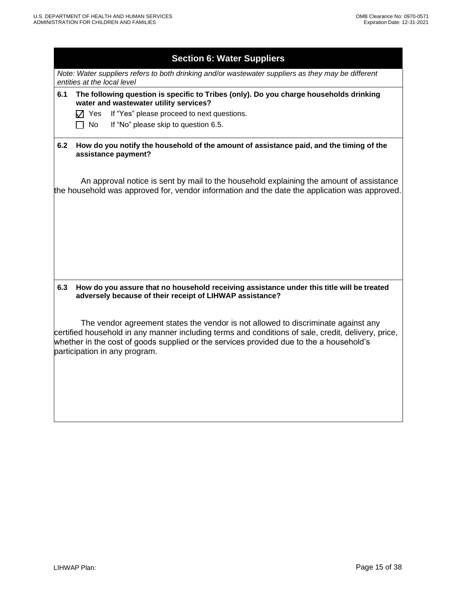|     | <b>Section 6: Water Suppliers</b>                                                                                                                                                                                                                                                                                   |  |  |  |  |
|-----|---------------------------------------------------------------------------------------------------------------------------------------------------------------------------------------------------------------------------------------------------------------------------------------------------------------------|--|--|--|--|
|     | Note: Water suppliers refers to both drinking and/or wastewater suppliers as they may be different<br>entities at the local level                                                                                                                                                                                   |  |  |  |  |
| 6.1 | The following question is specific to Tribes (only). Do you charge households drinking<br>water and wastewater utility services?                                                                                                                                                                                    |  |  |  |  |
|     | If "Yes" please proceed to next questions.<br>$\nabla I$ Yes                                                                                                                                                                                                                                                        |  |  |  |  |
|     | If "No" please skip to question 6.5.<br>No.                                                                                                                                                                                                                                                                         |  |  |  |  |
| 6.2 | How do you notify the household of the amount of assistance paid, and the timing of the<br>assistance payment?                                                                                                                                                                                                      |  |  |  |  |
|     | An approval notice is sent by mail to the household explaining the amount of assistance<br>the household was approved for, vendor information and the date the application was approved.                                                                                                                            |  |  |  |  |
|     |                                                                                                                                                                                                                                                                                                                     |  |  |  |  |
|     |                                                                                                                                                                                                                                                                                                                     |  |  |  |  |
|     |                                                                                                                                                                                                                                                                                                                     |  |  |  |  |
|     |                                                                                                                                                                                                                                                                                                                     |  |  |  |  |
| 6.3 | How do you assure that no household receiving assistance under this title will be treated<br>adversely because of their receipt of LIHWAP assistance?                                                                                                                                                               |  |  |  |  |
|     | The vendor agreement states the vendor is not allowed to discriminate against any<br>certified household in any manner including terms and conditions of sale, credit, delivery, price,<br>whether in the cost of goods supplied or the services provided due to the a household's<br>participation in any program. |  |  |  |  |
|     |                                                                                                                                                                                                                                                                                                                     |  |  |  |  |
|     |                                                                                                                                                                                                                                                                                                                     |  |  |  |  |
|     |                                                                                                                                                                                                                                                                                                                     |  |  |  |  |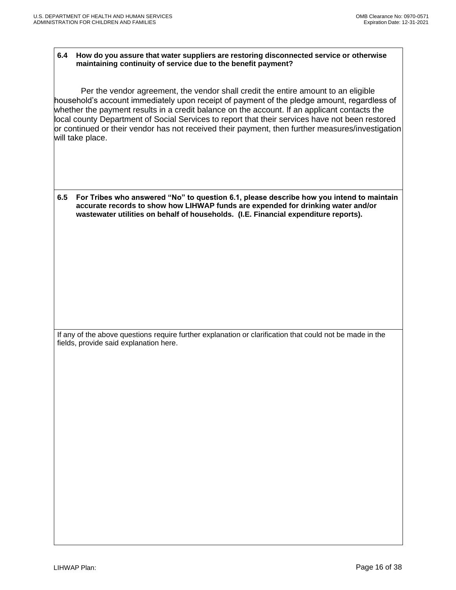#### **6.4 How do you assure that water suppliers are restoring disconnected service or otherwise maintaining continuity of service due to the benefit payment?**

Per the vendor agreement, the vendor shall credit the entire amount to an eligible household's account immediately upon receipt of payment of the pledge amount, regardless of whether the payment results in a credit balance on the account. If an applicant contacts the local county Department of Social Services to report that their services have not been restored or continued or their vendor has not received their payment, then further measures/investigation will take place.

**6.5 For Tribes who answered "No" to question 6.1, please describe how you intend to maintain accurate records to show how LIHWAP funds are expended for drinking water and/or wastewater utilities on behalf of households. (I.E. Financial expenditure reports).**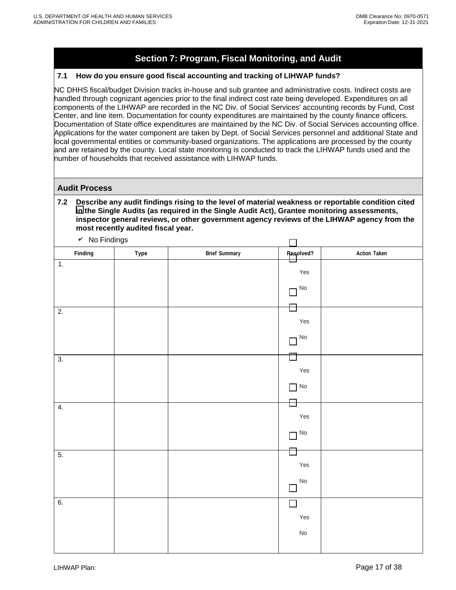# **Section 7: Program, Fiscal Monitoring, and Audit**

#### **7.1 How do you ensure good fiscal accounting and tracking of LIHWAP funds?**

NC DHHS fiscal/budget Division tracks in-house and sub grantee and administrative costs. Indirect costs are handled through cognizant agencies prior to the final indirect cost rate being developed. Expenditures on all components of the LIHWAP are recorded in the NC Div. of Social Services' accounting records by Fund, Cost Center, and line item. Documentation for county expenditures are maintained by the county finance officers. Documentation of State office expenditures are maintained by the NC Div. of Social Services accounting office. Applications for the water component are taken by Dept. of Social Services personnel and additional State and local governmental entities or community-based organizations. The applications are processed by the county and are retained by the county. Local state monitoring is conducted to track the LIHWAP funds used and the number of households that received assistance with LIHWAP funds.

#### **Audit Process**

 $\sim$  No  $\sim$   $\sim$   $\sim$   $\sim$ 

**7.2 Describe any audit findings rising to the level of material weakness or reportable condition cited in the Single Audits (as required in the Single Audit Act), Grantee monitoring assessments, inspector general reviews, or other government agency reviews of the LIHWAP agency from the most recently audited fiscal year.**

| $\mathbf{\cdot}$ No Findings |             |                      |                                              |                     |
|------------------------------|-------------|----------------------|----------------------------------------------|---------------------|
| Finding                      | <b>Type</b> | <b>Brief Summary</b> | Resolved?                                    | <b>Action Taken</b> |
| 1.                           |             |                      |                                              |                     |
|                              |             |                      | Yes                                          |                     |
|                              |             |                      | No                                           |                     |
|                              |             |                      |                                              |                     |
| 2.                           |             |                      | 日                                            |                     |
|                              |             |                      | $\operatorname{\mathsf{Yes}}$                |                     |
|                              |             |                      | $\operatorname{\mathsf{No}}$                 |                     |
|                              |             |                      |                                              |                     |
| 3.                           |             |                      |                                              |                     |
|                              |             |                      | Yes                                          |                     |
|                              |             |                      | $\operatorname{\mathsf{No}}$<br>$\mathsf{L}$ |                     |
|                              |             |                      |                                              |                     |
| 4.                           |             |                      |                                              |                     |
|                              |             |                      | Yes                                          |                     |
|                              |             |                      | $\operatorname{\mathsf{No}}$                 |                     |
|                              |             |                      |                                              |                     |
| 5.                           |             |                      | 廿                                            |                     |
|                              |             |                      | Yes                                          |                     |
|                              |             |                      | $\operatorname{\mathsf{No}}$                 |                     |
|                              |             |                      |                                              |                     |
| 6.                           |             |                      |                                              |                     |
|                              |             |                      | Yes                                          |                     |
|                              |             |                      | $\operatorname{\mathsf{No}}$                 |                     |
|                              |             |                      |                                              |                     |
|                              |             |                      |                                              |                     |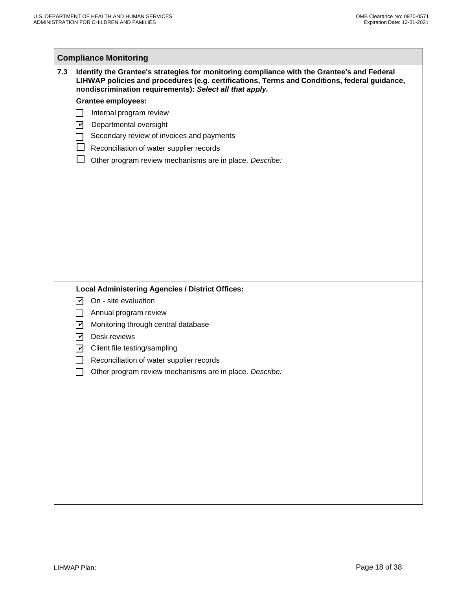| <b>Compliance Monitoring</b> |                          |                                                                                                                                                                                                                                                       |  |
|------------------------------|--------------------------|-------------------------------------------------------------------------------------------------------------------------------------------------------------------------------------------------------------------------------------------------------|--|
| 7.3                          |                          | Identify the Grantee's strategies for monitoring compliance with the Grantee's and Federal<br>LIHWAP policies and procedures (e.g. certifications, Terms and Conditions, federal guidance,<br>nondiscrimination requirements): Select all that apply. |  |
|                              |                          | <b>Grantee employees:</b>                                                                                                                                                                                                                             |  |
|                              |                          | Internal program review                                                                                                                                                                                                                               |  |
|                              | $\overline{\phantom{a}}$ | Departmental oversight                                                                                                                                                                                                                                |  |
|                              | $\blacksquare$           | Secondary review of invoices and payments                                                                                                                                                                                                             |  |
|                              |                          | $\Box$ Reconciliation of water supplier records                                                                                                                                                                                                       |  |
|                              |                          | Other program review mechanisms are in place. Describe:                                                                                                                                                                                               |  |
|                              |                          |                                                                                                                                                                                                                                                       |  |
|                              |                          |                                                                                                                                                                                                                                                       |  |
|                              |                          |                                                                                                                                                                                                                                                       |  |
|                              |                          |                                                                                                                                                                                                                                                       |  |
|                              |                          |                                                                                                                                                                                                                                                       |  |
|                              |                          |                                                                                                                                                                                                                                                       |  |
|                              |                          |                                                                                                                                                                                                                                                       |  |
|                              |                          |                                                                                                                                                                                                                                                       |  |
|                              |                          |                                                                                                                                                                                                                                                       |  |
|                              |                          |                                                                                                                                                                                                                                                       |  |
|                              |                          | <b>Local Administering Agencies / District Offices:</b>                                                                                                                                                                                               |  |
|                              | ⊺∽                       | On - site evaluation                                                                                                                                                                                                                                  |  |
|                              |                          | Annual program review                                                                                                                                                                                                                                 |  |
|                              | $\blacktriangledown$     | Monitoring through central database                                                                                                                                                                                                                   |  |
|                              | $\blacktriangledown$     | Desk reviews                                                                                                                                                                                                                                          |  |
|                              | $\overline{\phantom{a}}$ | Client file testing/sampling                                                                                                                                                                                                                          |  |
|                              |                          | Reconciliation of water supplier records                                                                                                                                                                                                              |  |
|                              |                          | Other program review mechanisms are in place. Describe:                                                                                                                                                                                               |  |
|                              |                          |                                                                                                                                                                                                                                                       |  |
|                              |                          |                                                                                                                                                                                                                                                       |  |
|                              |                          |                                                                                                                                                                                                                                                       |  |
|                              |                          |                                                                                                                                                                                                                                                       |  |
|                              |                          |                                                                                                                                                                                                                                                       |  |
|                              |                          |                                                                                                                                                                                                                                                       |  |
|                              |                          |                                                                                                                                                                                                                                                       |  |
|                              |                          |                                                                                                                                                                                                                                                       |  |
|                              |                          |                                                                                                                                                                                                                                                       |  |
|                              |                          |                                                                                                                                                                                                                                                       |  |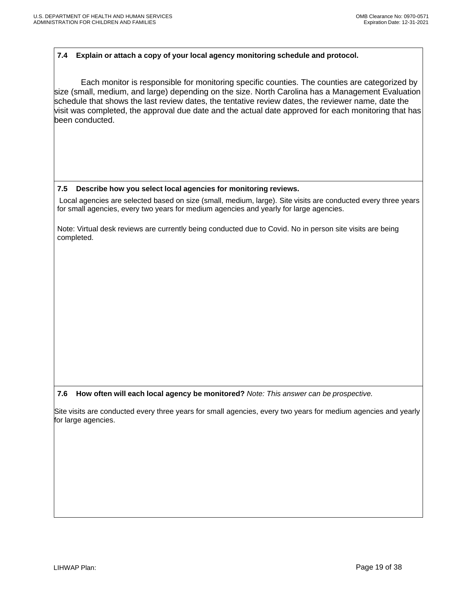#### **7.4 Explain or attach a copy of your local agency monitoring schedule and protocol.**

Each monitor is responsible for monitoring specific counties. The counties are categorized by size (small, medium, and large) depending on the size. North Carolina has a Management Evaluation schedule that shows the last review dates, the tentative review dates, the reviewer name, date the visit was completed, the approval due date and the actual date approved for each monitoring that has been conducted.

#### **7.5 Describe how you select local agencies for monitoring reviews.**

Local agencies are selected based on size (small, medium, large). Site visits are conducted every three years for small agencies, every two years for medium agencies and yearly for large agencies.

Note: Virtual desk reviews are currently being conducted due to Covid. No in person site visits are being completed.

#### **7.6 How often will each local agency be monitored?** *Note: This answer can be prospective.*

Site visits are conducted every three years for small agencies, every two years for medium agencies and yearly for large agencies.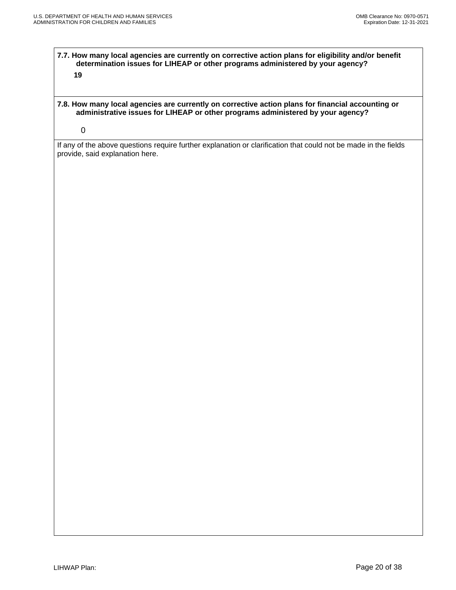## **7.7. How many local agencies are currently on corrective action plans for eligibility and/or benefit determination issues for LIHEAP or other programs administered by your agency?**

 **19**

#### **7.8. How many local agencies are currently on corrective action plans for financial accounting or administrative issues for LIHEAP or other programs administered by your agency?**

0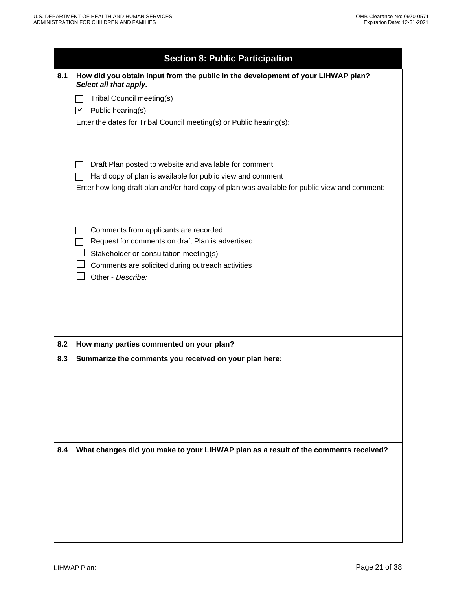|     | <b>Section 8: Public Participation</b>                                                                     |
|-----|------------------------------------------------------------------------------------------------------------|
| 8.1 | How did you obtain input from the public in the development of your LIHWAP plan?<br>Select all that apply. |
|     | Tribal Council meeting(s)                                                                                  |
|     | Public hearing(s)<br>I۷                                                                                    |
|     | Enter the dates for Tribal Council meeting(s) or Public hearing(s):                                        |
|     |                                                                                                            |
|     | Draft Plan posted to website and available for comment                                                     |
|     | Hard copy of plan is available for public view and comment                                                 |
|     | Enter how long draft plan and/or hard copy of plan was available for public view and comment:              |
|     |                                                                                                            |
|     | Comments from applicants are recorded                                                                      |
|     | Request for comments on draft Plan is advertised                                                           |
|     | Stakeholder or consultation meeting(s)                                                                     |
|     | Comments are solicited during outreach activities                                                          |
|     | Other - Describe:                                                                                          |
|     |                                                                                                            |
| 8.2 | How many parties commented on your plan?                                                                   |
| 8.3 | Summarize the comments you received on your plan here:                                                     |
| 8.4 | What changes did you make to your LIHWAP plan as a result of the comments received?                        |
|     |                                                                                                            |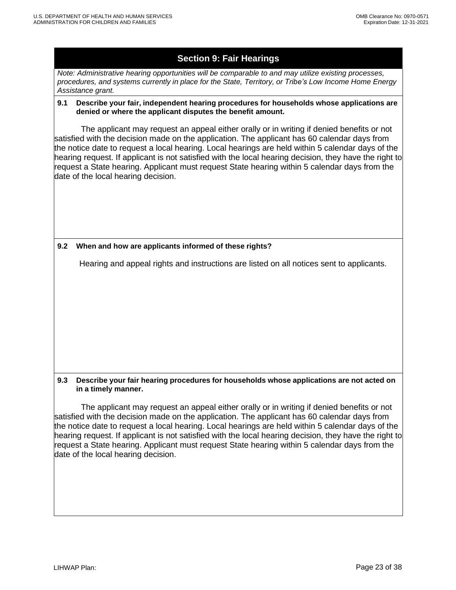## **Section 9: Fair Hearings**

*Note: Administrative hearing opportunities will be comparable to and may utilize existing processes, procedures, and systems currently in place for the State, Territory, or Tribe's Low Income Home Energy Assistance grant.*

#### **9.1 Describe your fair, independent hearing procedures for households whose applications are denied or where the applicant disputes the benefit amount.**

The applicant may request an appeal either orally or in writing if denied benefits or not satisfied with the decision made on the application. The applicant has 60 calendar days from the notice date to request a local hearing. Local hearings are held within 5 calendar days of the hearing request. If applicant is not satisfied with the local hearing decision, they have the right to request a State hearing. Applicant must request State hearing within 5 calendar days from the date of the local hearing decision.

#### **9.2 When and how are applicants informed of these rights?**

Hearing and appeal rights and instructions are listed on all notices sent to applicants.

#### **9.3 Describe your fair hearing procedures for households whose applications are not acted on in a timely manner.**

The applicant may request an appeal either orally or in writing if denied benefits or not satisfied with the decision made on the application. The applicant has 60 calendar days from the notice date to request a local hearing. Local hearings are held within 5 calendar days of the hearing request. If applicant is not satisfied with the local hearing decision, they have the right to request a State hearing. Applicant must request State hearing within 5 calendar days from the date of the local hearing decision.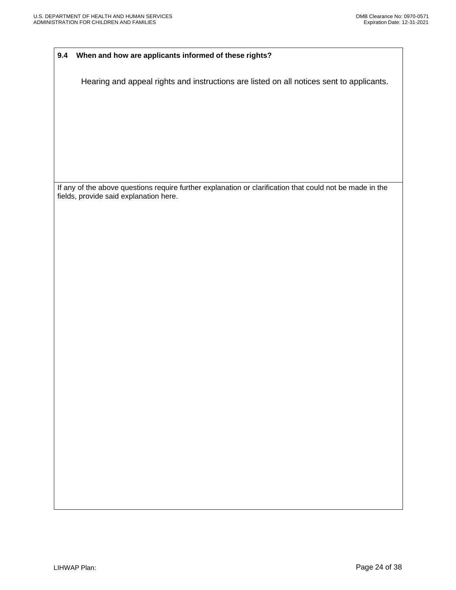#### **9.4 When and how are applicants informed of these rights?**

Hearing and appeal rights and instructions are listed on all notices sent to applicants.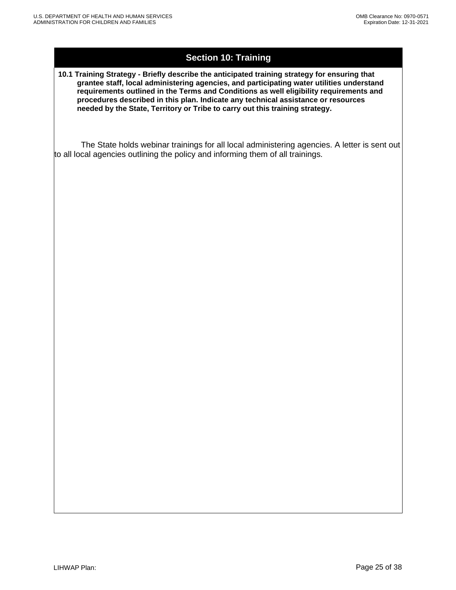## **Section 10: Training**

**10.1 Training Strategy - Briefly describe the anticipated training strategy for ensuring that grantee staff, local administering agencies, and participating water utilities understand requirements outlined in the Terms and Conditions as well eligibility requirements and procedures described in this plan. Indicate any technical assistance or resources needed by the State, Territory or Tribe to carry out this training strategy.**

The State holds webinar trainings for all local administering agencies. A letter is sent out to all local agencies outlining the policy and informing them of all trainings.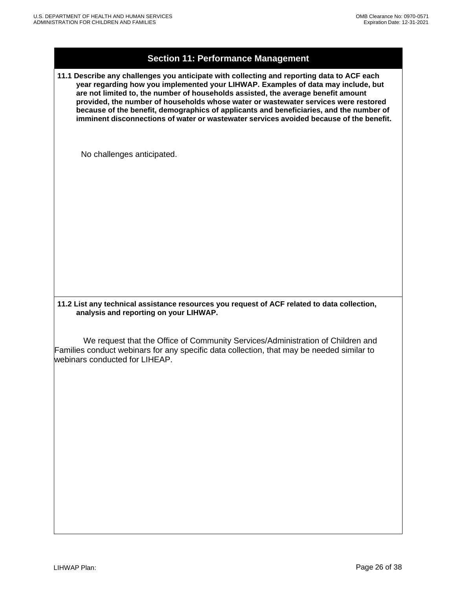| <b>Section 11: Performance Management</b>                                                                                                                                                                                                                                                                                                                                                                                                                                                                                                         |
|---------------------------------------------------------------------------------------------------------------------------------------------------------------------------------------------------------------------------------------------------------------------------------------------------------------------------------------------------------------------------------------------------------------------------------------------------------------------------------------------------------------------------------------------------|
| 11.1 Describe any challenges you anticipate with collecting and reporting data to ACF each<br>year regarding how you implemented your LIHWAP. Examples of data may include, but<br>are not limited to, the number of households assisted, the average benefit amount<br>provided, the number of households whose water or wastewater services were restored<br>because of the benefit, demographics of applicants and beneficiaries, and the number of<br>imminent disconnections of water or wastewater services avoided because of the benefit. |
| No challenges anticipated.                                                                                                                                                                                                                                                                                                                                                                                                                                                                                                                        |
|                                                                                                                                                                                                                                                                                                                                                                                                                                                                                                                                                   |
| 11.2 List any technical assistance resources you request of ACF related to data collection,<br>analysis and reporting on your LIHWAP.                                                                                                                                                                                                                                                                                                                                                                                                             |
| We request that the Office of Community Services/Administration of Children and<br>Families conduct webinars for any specific data collection, that may be needed similar to<br>webinars conducted for LIHEAP.                                                                                                                                                                                                                                                                                                                                    |
|                                                                                                                                                                                                                                                                                                                                                                                                                                                                                                                                                   |
|                                                                                                                                                                                                                                                                                                                                                                                                                                                                                                                                                   |
|                                                                                                                                                                                                                                                                                                                                                                                                                                                                                                                                                   |
|                                                                                                                                                                                                                                                                                                                                                                                                                                                                                                                                                   |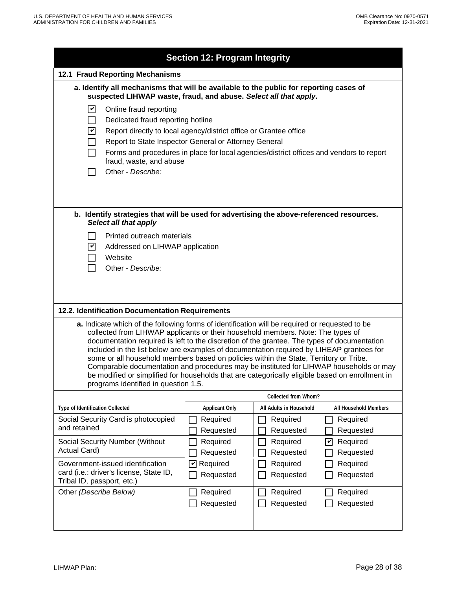| <b>Section 12: Program Integrity</b>                                                                                                                                                                                                                                                                                                                                                                                                                                                                                                                                                                                                                                                                                                                          |                                                                              |                                                             |                                                                                        |  |
|---------------------------------------------------------------------------------------------------------------------------------------------------------------------------------------------------------------------------------------------------------------------------------------------------------------------------------------------------------------------------------------------------------------------------------------------------------------------------------------------------------------------------------------------------------------------------------------------------------------------------------------------------------------------------------------------------------------------------------------------------------------|------------------------------------------------------------------------------|-------------------------------------------------------------|----------------------------------------------------------------------------------------|--|
| <b>12.1 Fraud Reporting Mechanisms</b>                                                                                                                                                                                                                                                                                                                                                                                                                                                                                                                                                                                                                                                                                                                        |                                                                              |                                                             |                                                                                        |  |
| a. Identify all mechanisms that will be available to the public for reporting cases of<br>suspected LIHWAP waste, fraud, and abuse. Select all that apply.                                                                                                                                                                                                                                                                                                                                                                                                                                                                                                                                                                                                    |                                                                              |                                                             |                                                                                        |  |
| 罓<br>Online fraud reporting<br>Dedicated fraud reporting hotline<br>$\blacksquare$<br>☑<br>Report directly to local agency/district office or Grantee office<br>Report to State Inspector General or Attorney General<br>Forms and procedures in place for local agencies/district offices and vendors to report<br>fraud, waste, and abuse<br>Other - Describe:<br>$\mathbf{I}$                                                                                                                                                                                                                                                                                                                                                                              |                                                                              |                                                             |                                                                                        |  |
| b. Identify strategies that will be used for advertising the above-referenced resources.<br>Select all that apply<br>Printed outreach materials<br>Addressed on LIHWAP application<br>$\vert\,$<br>Website<br>Other - Describe:                                                                                                                                                                                                                                                                                                                                                                                                                                                                                                                               |                                                                              |                                                             |                                                                                        |  |
|                                                                                                                                                                                                                                                                                                                                                                                                                                                                                                                                                                                                                                                                                                                                                               |                                                                              |                                                             |                                                                                        |  |
| 12.2. Identification Documentation Requirements<br>a. Indicate which of the following forms of identification will be required or requested to be<br>collected from LIHWAP applicants or their household members. Note: The types of<br>documentation required is left to the discretion of the grantee. The types of documentation<br>included in the list below are examples of documentation required by LIHEAP grantees for<br>some or all household members based on policies within the State, Territory or Tribe.<br>Comparable documentation and procedures may be instituted for LIHWAP households or may<br>be modified or simplified for households that are categorically eligible based on enrollment in<br>programs identified in question 1.5. |                                                                              |                                                             |                                                                                        |  |
|                                                                                                                                                                                                                                                                                                                                                                                                                                                                                                                                                                                                                                                                                                                                                               |                                                                              | <b>Collected from Whom?</b>                                 |                                                                                        |  |
| <b>Type of Identification Collected</b><br>Social Security Card is photocopied<br>and retained                                                                                                                                                                                                                                                                                                                                                                                                                                                                                                                                                                                                                                                                | <b>Applicant Only</b><br>Required                                            | All Adults in Household<br>Required                         | All Household Members<br>Required                                                      |  |
| Social Security Number (Without<br>Actual Card)<br>Government-issued identification<br>card (i.e.: driver's license, State ID,                                                                                                                                                                                                                                                                                                                                                                                                                                                                                                                                                                                                                                | Requested<br>Required<br>Requested<br>Required<br>$\mathcal{V}$<br>Requested | Requested<br>Required<br>Requested<br>Required<br>Requested | Requested<br>Required<br>$\overline{\mathbf{c}}$<br>Requested<br>Required<br>Requested |  |
| Tribal ID, passport, etc.)<br>Other (Describe Below)                                                                                                                                                                                                                                                                                                                                                                                                                                                                                                                                                                                                                                                                                                          | Required<br>Requested                                                        | Required<br>Requested                                       | Required<br>Requested                                                                  |  |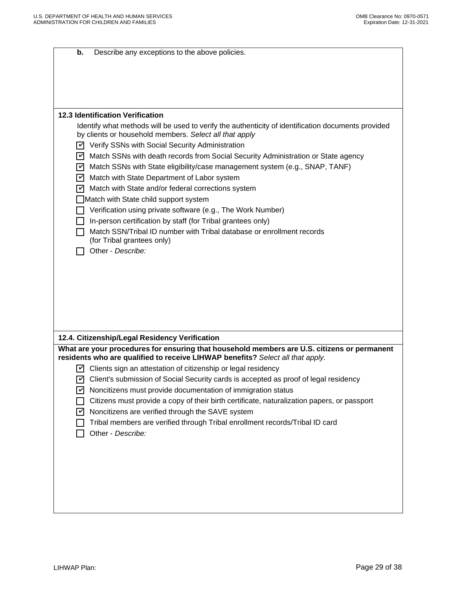| b.<br>Describe any exceptions to the above policies.                                                                                                         |
|--------------------------------------------------------------------------------------------------------------------------------------------------------------|
|                                                                                                                                                              |
|                                                                                                                                                              |
|                                                                                                                                                              |
|                                                                                                                                                              |
| <b>12.3 Identification Verification</b>                                                                                                                      |
| Identify what methods will be used to verify the authenticity of identification documents provided<br>by clients or household members. Select all that apply |
| Verify SSNs with Social Security Administration<br>∽                                                                                                         |
| Match SSNs with death records from Social Security Administration or State agency<br>$\mathbf{v}$                                                            |
| Match SSNs with State eligibility/case management system (e.g., SNAP, TANF)<br>$\mathbf{v}$                                                                  |
| Match with State Department of Labor system<br>∣∽∣                                                                                                           |
| Match with State and/or federal corrections system<br>$\mathcal{V}$                                                                                          |
| Match with State child support system                                                                                                                        |
| Verification using private software (e.g., The Work Number)                                                                                                  |
| In-person certification by staff (for Tribal grantees only)                                                                                                  |
| Match SSN/Tribal ID number with Tribal database or enrollment records<br>(for Tribal grantees only)                                                          |
| Other - Describe:                                                                                                                                            |
|                                                                                                                                                              |
|                                                                                                                                                              |
|                                                                                                                                                              |
|                                                                                                                                                              |
|                                                                                                                                                              |
|                                                                                                                                                              |
|                                                                                                                                                              |
| 12.4. Citizenship/Legal Residency Verification                                                                                                               |
| What are your procedures for ensuring that household members are U.S. citizens or permanent                                                                  |
| residents who are qualified to receive LIHWAP benefits? Select all that apply.                                                                               |
| Clients sign an attestation of citizenship or legal residency                                                                                                |
| O Client's submission of Social Security cards is accepted as proof of legal residency                                                                       |
| Noncitizens must provide documentation of immigration status<br>$\mathbf v$                                                                                  |
| Citizens must provide a copy of their birth certificate, naturalization papers, or passport                                                                  |
| Noncitizens are verified through the SAVE system<br>$\vert \mathbf{v} \vert$                                                                                 |
| Tribal members are verified through Tribal enrollment records/Tribal ID card                                                                                 |
| Other - Describe:                                                                                                                                            |
|                                                                                                                                                              |
|                                                                                                                                                              |
|                                                                                                                                                              |
|                                                                                                                                                              |
|                                                                                                                                                              |
|                                                                                                                                                              |
|                                                                                                                                                              |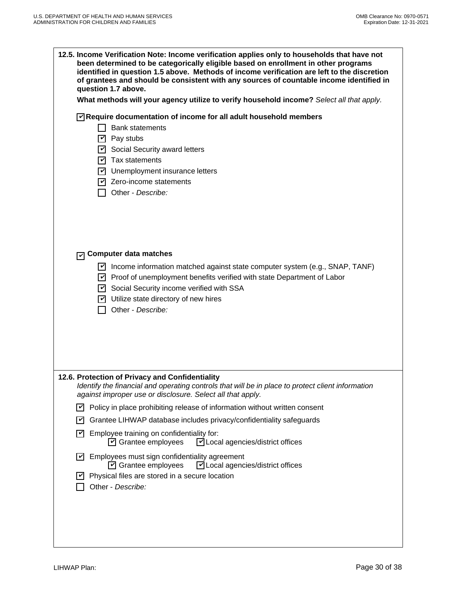| 12.5. Income Verification Note: Income verification applies only to households that have not<br>been determined to be categorically eligible based on enrollment in other programs<br>identified in question 1.5 above. Methods of income verification are left to the discretion<br>of grantees and should be consistent with any sources of countable income identified in<br>question 1.7 above.<br>What methods will your agency utilize to verify household income? Select all that apply.                                                                                                                                                                                                                                           |  |
|-------------------------------------------------------------------------------------------------------------------------------------------------------------------------------------------------------------------------------------------------------------------------------------------------------------------------------------------------------------------------------------------------------------------------------------------------------------------------------------------------------------------------------------------------------------------------------------------------------------------------------------------------------------------------------------------------------------------------------------------|--|
| $\triangledown$ Require documentation of income for all adult household members<br><b>Bank statements</b><br>$\mathbf v$<br>Pay stubs<br>$\triangleright$ Social Security award letters<br><b>D</b> Tax statements<br>$\triangleright$ Unemployment insurance letters<br>Zero-income statements<br>$\overline{\mathcal{C}}$<br>Other - Describe:                                                                                                                                                                                                                                                                                                                                                                                          |  |
| <b>D</b> Computer data matches<br>Income information matched against state computer system (e.g., SNAP, TANF)<br>$\mathsf{M}$<br>$\triangledown$ Proof of unemployment benefits verified with state Department of Labor<br>$\triangleright$ Social Security income verified with SSA<br>$\triangleright$ Utilize state directory of new hires<br>Other - Describe:                                                                                                                                                                                                                                                                                                                                                                        |  |
| 12.6. Protection of Privacy and Confidentiality<br>Identify the financial and operating controls that will be in place to protect client information<br>against improper use or disclosure. Select all that apply.<br>Policy in place prohibiting release of information without written consent<br>∽<br>Grantee LIHWAP database includes privacy/confidentiality safeguards<br>∣∽∣<br>Employee training on confidentiality for:<br>I۷<br>$\triangleright$ Grantee employees<br>□ Local agencies/district offices<br>Employees must sign confidentiality agreement<br>$\mathsf{r}$<br>□ Local agencies/district offices<br>$\triangleright$ Grantee employees<br>Physical files are stored in a secure location<br>∽<br>Other - Describe: |  |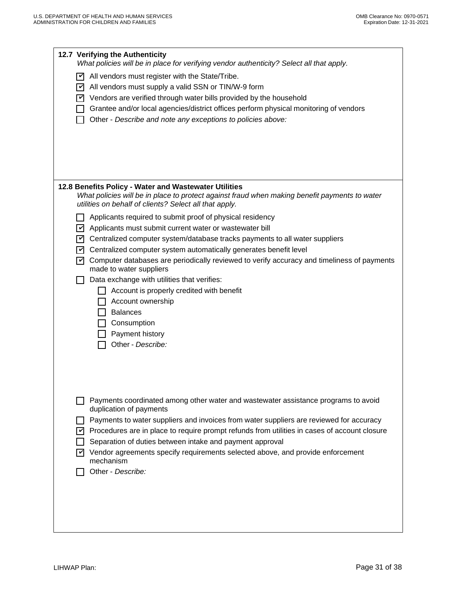| 12.7 Verifying the Authenticity<br>What policies will be in place for verifying vendor authenticity? Select all that apply. |                                                                                                                                                                                                                  |
|-----------------------------------------------------------------------------------------------------------------------------|------------------------------------------------------------------------------------------------------------------------------------------------------------------------------------------------------------------|
| ∽                                                                                                                           | All vendors must register with the State/Tribe.                                                                                                                                                                  |
| $\vert \mathbf{v} \vert$                                                                                                    | All vendors must supply a valid SSN or TIN/W-9 form                                                                                                                                                              |
| ∽                                                                                                                           | Vendors are verified through water bills provided by the household                                                                                                                                               |
|                                                                                                                             | Grantee and/or local agencies/district offices perform physical monitoring of vendors                                                                                                                            |
|                                                                                                                             | Other - Describe and note any exceptions to policies above:                                                                                                                                                      |
|                                                                                                                             |                                                                                                                                                                                                                  |
|                                                                                                                             |                                                                                                                                                                                                                  |
|                                                                                                                             |                                                                                                                                                                                                                  |
|                                                                                                                             |                                                                                                                                                                                                                  |
|                                                                                                                             |                                                                                                                                                                                                                  |
|                                                                                                                             | 12.8 Benefits Policy - Water and Wastewater Utilities<br>What policies will be in place to protect against fraud when making benefit payments to water<br>utilities on behalf of clients? Select all that apply. |
|                                                                                                                             | Applicants required to submit proof of physical residency                                                                                                                                                        |
| $\blacktriangledown$                                                                                                        | Applicants must submit current water or wastewater bill                                                                                                                                                          |
| ∽                                                                                                                           | Centralized computer system/database tracks payments to all water suppliers                                                                                                                                      |
| ∽                                                                                                                           | Centralized computer system automatically generates benefit level                                                                                                                                                |
| I۷                                                                                                                          | Computer databases are periodically reviewed to verify accuracy and timeliness of payments                                                                                                                       |
| made to water suppliers                                                                                                     |                                                                                                                                                                                                                  |
|                                                                                                                             | Data exchange with utilities that verifies:                                                                                                                                                                      |
|                                                                                                                             | Account is properly credited with benefit                                                                                                                                                                        |
|                                                                                                                             | Account ownership                                                                                                                                                                                                |
| <b>Balances</b>                                                                                                             |                                                                                                                                                                                                                  |
|                                                                                                                             | Consumption<br>Payment history                                                                                                                                                                                   |
|                                                                                                                             | Other - Describe:                                                                                                                                                                                                |
|                                                                                                                             |                                                                                                                                                                                                                  |
|                                                                                                                             |                                                                                                                                                                                                                  |
|                                                                                                                             |                                                                                                                                                                                                                  |
|                                                                                                                             |                                                                                                                                                                                                                  |
|                                                                                                                             | Payments coordinated among other water and wastewater assistance programs to avoid                                                                                                                               |
| duplication of payments                                                                                                     |                                                                                                                                                                                                                  |
|                                                                                                                             | Payments to water suppliers and invoices from water suppliers are reviewed for accuracy                                                                                                                          |
|                                                                                                                             | Procedures are in place to require prompt refunds from utilities in cases of account closure                                                                                                                     |
|                                                                                                                             | Separation of duties between intake and payment approval                                                                                                                                                         |
| mechanism                                                                                                                   | Vendor agreements specify requirements selected above, and provide enforcement                                                                                                                                   |
| Other - Describe:                                                                                                           |                                                                                                                                                                                                                  |
|                                                                                                                             |                                                                                                                                                                                                                  |
|                                                                                                                             |                                                                                                                                                                                                                  |
|                                                                                                                             |                                                                                                                                                                                                                  |
|                                                                                                                             |                                                                                                                                                                                                                  |
|                                                                                                                             |                                                                                                                                                                                                                  |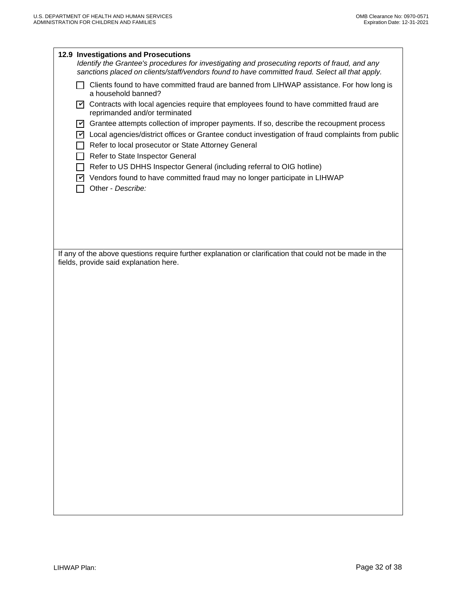| 12.9 Investigations and Prosecutions<br>Identify the Grantee's procedures for investigating and prosecuting reports of fraud, and any<br>sanctions placed on clients/staff/vendors found to have committed fraud. Select all that apply.                                                                                                                                                                                                                                                                                                    |  |  |
|---------------------------------------------------------------------------------------------------------------------------------------------------------------------------------------------------------------------------------------------------------------------------------------------------------------------------------------------------------------------------------------------------------------------------------------------------------------------------------------------------------------------------------------------|--|--|
| Clients found to have committed fraud are banned from LIHWAP assistance. For how long is<br>a household banned?                                                                                                                                                                                                                                                                                                                                                                                                                             |  |  |
| ○ Contracts with local agencies require that employees found to have committed fraud are<br>reprimanded and/or terminated                                                                                                                                                                                                                                                                                                                                                                                                                   |  |  |
| Grantee attempts collection of improper payments. If so, describe the recoupment process<br>$\mathsf{L}$<br>Local agencies/district offices or Grantee conduct investigation of fraud complaints from public<br>$\vert \mathbf{v} \vert$<br>Refer to local prosecutor or State Attorney General<br>Refer to State Inspector General<br>Refer to US DHHS Inspector General (including referral to OIG hotline)<br>Vendors found to have committed fraud may no longer participate in LIHWAP<br>$\vert \mathbf{v} \vert$<br>Other - Describe: |  |  |
|                                                                                                                                                                                                                                                                                                                                                                                                                                                                                                                                             |  |  |
| If any of the above questions require further explanation or clarification that could not be made in the<br>fields, provide said explanation here.                                                                                                                                                                                                                                                                                                                                                                                          |  |  |
|                                                                                                                                                                                                                                                                                                                                                                                                                                                                                                                                             |  |  |
|                                                                                                                                                                                                                                                                                                                                                                                                                                                                                                                                             |  |  |
|                                                                                                                                                                                                                                                                                                                                                                                                                                                                                                                                             |  |  |
|                                                                                                                                                                                                                                                                                                                                                                                                                                                                                                                                             |  |  |
|                                                                                                                                                                                                                                                                                                                                                                                                                                                                                                                                             |  |  |
|                                                                                                                                                                                                                                                                                                                                                                                                                                                                                                                                             |  |  |
|                                                                                                                                                                                                                                                                                                                                                                                                                                                                                                                                             |  |  |
|                                                                                                                                                                                                                                                                                                                                                                                                                                                                                                                                             |  |  |
|                                                                                                                                                                                                                                                                                                                                                                                                                                                                                                                                             |  |  |
|                                                                                                                                                                                                                                                                                                                                                                                                                                                                                                                                             |  |  |
|                                                                                                                                                                                                                                                                                                                                                                                                                                                                                                                                             |  |  |
|                                                                                                                                                                                                                                                                                                                                                                                                                                                                                                                                             |  |  |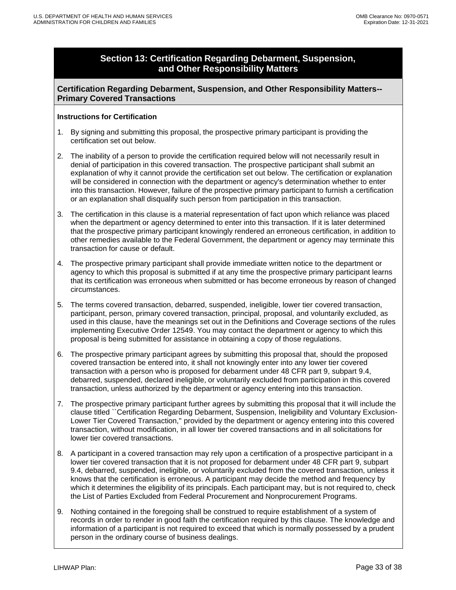## **Section 13: Certification Regarding Debarment, Suspension, and Other Responsibility Matters**

**Certification Regarding Debarment, Suspension, and Other Responsibility Matters-- Primary Covered Transactions**

#### **Instructions for Certification**

- 1. By signing and submitting this proposal, the prospective primary participant is providing the certification set out below.
- 2. The inability of a person to provide the certification required below will not necessarily result in denial of participation in this covered transaction. The prospective participant shall submit an explanation of why it cannot provide the certification set out below. The certification or explanation will be considered in connection with the department or agency's determination whether to enter into this transaction. However, failure of the prospective primary participant to furnish a certification or an explanation shall disqualify such person from participation in this transaction.
- 3. The certification in this clause is a material representation of fact upon which reliance was placed when the department or agency determined to enter into this transaction. If it is later determined that the prospective primary participant knowingly rendered an erroneous certification, in addition to other remedies available to the Federal Government, the department or agency may terminate this transaction for cause or default.
- 4. The prospective primary participant shall provide immediate written notice to the department or agency to which this proposal is submitted if at any time the prospective primary participant learns that its certification was erroneous when submitted or has become erroneous by reason of changed circumstances.
- 5. The terms covered transaction, debarred, suspended, ineligible, lower tier covered transaction, participant, person, primary covered transaction, principal, proposal, and voluntarily excluded, as used in this clause, have the meanings set out in the Definitions and Coverage sections of the rules implementing Executive Order 12549. You may contact the department or agency to which this proposal is being submitted for assistance in obtaining a copy of those regulations.
- 6. The prospective primary participant agrees by submitting this proposal that, should the proposed covered transaction be entered into, it shall not knowingly enter into any lower tier covered transaction with a person who is proposed for debarment under 48 CFR part 9, subpart 9.4, debarred, suspended, declared ineligible, or voluntarily excluded from participation in this covered transaction, unless authorized by the department or agency entering into this transaction.
- 7. The prospective primary participant further agrees by submitting this proposal that it will include the clause titled ``Certification Regarding Debarment, Suspension, Ineligibility and Voluntary Exclusion-Lower Tier Covered Transaction,'' provided by the department or agency entering into this covered transaction, without modification, in all lower tier covered transactions and in all solicitations for lower tier covered transactions.
- 8. A participant in a covered transaction may rely upon a certification of a prospective participant in a lower tier covered transaction that it is not proposed for debarment under 48 CFR part 9, subpart 9.4, debarred, suspended, ineligible, or voluntarily excluded from the covered transaction, unless it knows that the certification is erroneous. A participant may decide the method and frequency by which it determines the eligibility of its principals. Each participant may, but is not required to, check the List of Parties Excluded from Federal Procurement and Nonprocurement Programs.
- 9. Nothing contained in the foregoing shall be construed to require establishment of a system of records in order to render in good faith the certification required by this clause. The knowledge and information of a participant is not required to exceed that which is normally possessed by a prudent person in the ordinary course of business dealings.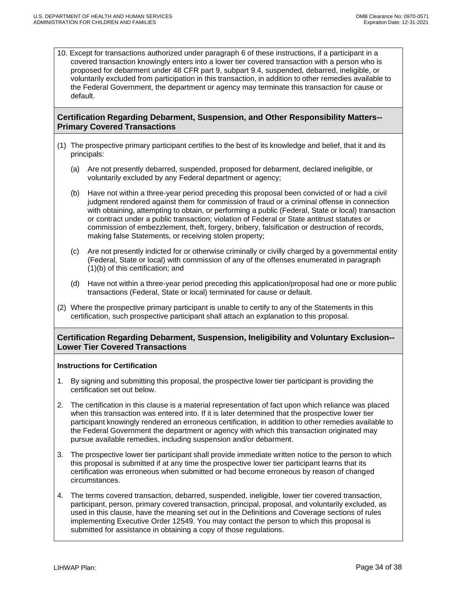10. Except for transactions authorized under paragraph 6 of these instructions, if a participant in a covered transaction knowingly enters into a lower tier covered transaction with a person who is proposed for debarment under 48 CFR part 9, subpart 9.4, suspended, debarred, ineligible, or voluntarily excluded from participation in this transaction, in addition to other remedies available to the Federal Government, the department or agency may terminate this transaction for cause or default.

#### **Certification Regarding Debarment, Suspension, and Other Responsibility Matters-- Primary Covered Transactions**

- (1) The prospective primary participant certifies to the best of its knowledge and belief, that it and its principals:
	- (a) Are not presently debarred, suspended, proposed for debarment, declared ineligible, or voluntarily excluded by any Federal department or agency;
	- (b) Have not within a three-year period preceding this proposal been convicted of or had a civil judgment rendered against them for commission of fraud or a criminal offense in connection with obtaining, attempting to obtain, or performing a public (Federal, State or local) transaction or contract under a public transaction; violation of Federal or State antitrust statutes or commission of embezzlement, theft, forgery, bribery, falsification or destruction of records, making false Statements, or receiving stolen property;
	- (c) Are not presently indicted for or otherwise criminally or civilly charged by a governmental entity (Federal, State or local) with commission of any of the offenses enumerated in paragraph (1)(b) of this certification; and
	- (d) Have not within a three-year period preceding this application/proposal had one or more public transactions (Federal, State or local) terminated for cause or default.
- (2) Where the prospective primary participant is unable to certify to any of the Statements in this certification, such prospective participant shall attach an explanation to this proposal.

#### **Certification Regarding Debarment, Suspension, Ineligibility and Voluntary Exclusion-- Lower Tier Covered Transactions**

#### **Instructions for Certification**

- 1. By signing and submitting this proposal, the prospective lower tier participant is providing the certification set out below.
- 2. The certification in this clause is a material representation of fact upon which reliance was placed when this transaction was entered into. If it is later determined that the prospective lower tier participant knowingly rendered an erroneous certification, in addition to other remedies available to the Federal Government the department or agency with which this transaction originated may pursue available remedies, including suspension and/or debarment.
- 3. The prospective lower tier participant shall provide immediate written notice to the person to which this proposal is submitted if at any time the prospective lower tier participant learns that its certification was erroneous when submitted or had become erroneous by reason of changed circumstances.
- 4. The terms covered transaction, debarred, suspended, ineligible, lower tier covered transaction, participant, person, primary covered transaction, principal, proposal, and voluntarily excluded, as used in this clause, have the meaning set out in the Definitions and Coverage sections of rules implementing Executive Order 12549. You may contact the person to which this proposal is submitted for assistance in obtaining a copy of those regulations.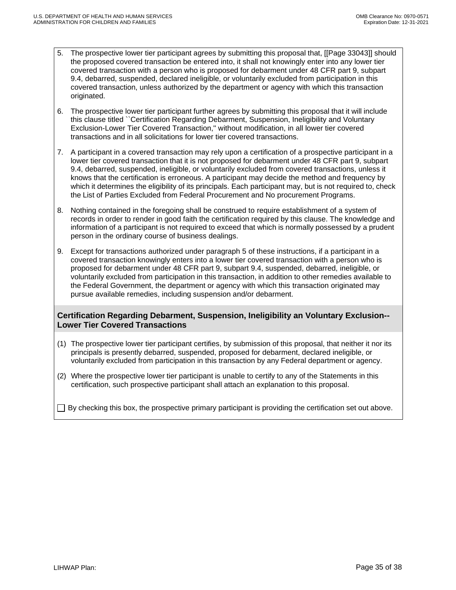- 5. The prospective lower tier participant agrees by submitting this proposal that, [[Page 33043]] should the proposed covered transaction be entered into, it shall not knowingly enter into any lower tier covered transaction with a person who is proposed for debarment under 48 CFR part 9, subpart 9.4, debarred, suspended, declared ineligible, or voluntarily excluded from participation in this covered transaction, unless authorized by the department or agency with which this transaction originated.
- 6. The prospective lower tier participant further agrees by submitting this proposal that it will include this clause titled ``Certification Regarding Debarment, Suspension, Ineligibility and Voluntary Exclusion-Lower Tier Covered Transaction,'' without modification, in all lower tier covered transactions and in all solicitations for lower tier covered transactions.
- 7. A participant in a covered transaction may rely upon a certification of a prospective participant in a lower tier covered transaction that it is not proposed for debarment under 48 CFR part 9, subpart 9.4, debarred, suspended, ineligible, or voluntarily excluded from covered transactions, unless it knows that the certification is erroneous. A participant may decide the method and frequency by which it determines the eligibility of its principals. Each participant may, but is not required to, check the List of Parties Excluded from Federal Procurement and No procurement Programs.
- 8. Nothing contained in the foregoing shall be construed to require establishment of a system of records in order to render in good faith the certification required by this clause. The knowledge and information of a participant is not required to exceed that which is normally possessed by a prudent person in the ordinary course of business dealings.
- 9. Except for transactions authorized under paragraph 5 of these instructions, if a participant in a covered transaction knowingly enters into a lower tier covered transaction with a person who is proposed for debarment under 48 CFR part 9, subpart 9.4, suspended, debarred, ineligible, or voluntarily excluded from participation in this transaction, in addition to other remedies available to the Federal Government, the department or agency with which this transaction originated may pursue available remedies, including suspension and/or debarment.

#### **Certification Regarding Debarment, Suspension, Ineligibility an Voluntary Exclusion-- Lower Tier Covered Transactions**

- (1) The prospective lower tier participant certifies, by submission of this proposal, that neither it nor its principals is presently debarred, suspended, proposed for debarment, declared ineligible, or voluntarily excluded from participation in this transaction by any Federal department or agency.
- (2) Where the prospective lower tier participant is unable to certify to any of the Statements in this certification, such prospective participant shall attach an explanation to this proposal.

 $\Box$  By checking this box, the prospective primary participant is providing the certification set out above.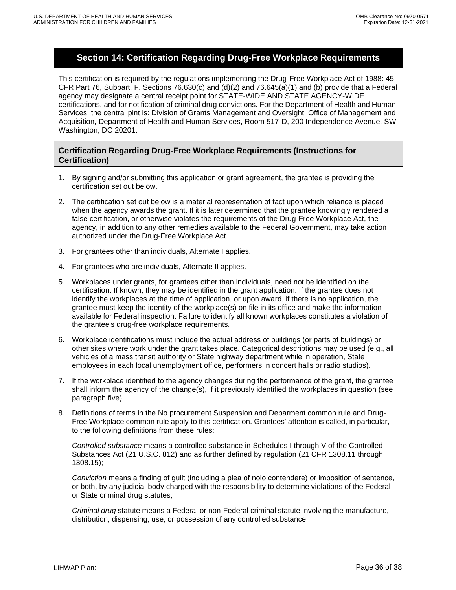## **Section 14: Certification Regarding Drug-Free Workplace Requirements**

This certification is required by the regulations implementing the Drug-Free Workplace Act of 1988: 45 CFR Part 76, Subpart, F. Sections 76.630(c) and (d)(2) and 76.645(a)(1) and (b) provide that a Federal agency may designate a central receipt point for STATE-WIDE AND STATE AGENCY-WIDE certifications, and for notification of criminal drug convictions. For the Department of Health and Human Services, the central pint is: Division of Grants Management and Oversight, Office of Management and Acquisition, Department of Health and Human Services, Room 517-D, 200 Independence Avenue, SW Washington, DC 20201.

#### **Certification Regarding Drug-Free Workplace Requirements (Instructions for Certification)**

- 1. By signing and/or submitting this application or grant agreement, the grantee is providing the certification set out below.
- 2. The certification set out below is a material representation of fact upon which reliance is placed when the agency awards the grant. If it is later determined that the grantee knowingly rendered a false certification, or otherwise violates the requirements of the Drug-Free Workplace Act, the agency, in addition to any other remedies available to the Federal Government, may take action authorized under the Drug-Free Workplace Act.
- 3. For grantees other than individuals, Alternate I applies.
- 4. For grantees who are individuals, Alternate II applies.
- 5. Workplaces under grants, for grantees other than individuals, need not be identified on the certification. If known, they may be identified in the grant application. If the grantee does not identify the workplaces at the time of application, or upon award, if there is no application, the grantee must keep the identity of the workplace(s) on file in its office and make the information available for Federal inspection. Failure to identify all known workplaces constitutes a violation of the grantee's drug-free workplace requirements.
- 6. Workplace identifications must include the actual address of buildings (or parts of buildings) or other sites where work under the grant takes place. Categorical descriptions may be used (e.g., all vehicles of a mass transit authority or State highway department while in operation, State employees in each local unemployment office, performers in concert halls or radio studios).
- 7. If the workplace identified to the agency changes during the performance of the grant, the grantee shall inform the agency of the change(s), if it previously identified the workplaces in question (see paragraph five).
- 8. Definitions of terms in the No procurement Suspension and Debarment common rule and Drug-Free Workplace common rule apply to this certification. Grantees' attention is called, in particular, to the following definitions from these rules:

*Controlled substance* means a controlled substance in Schedules I through V of the Controlled Substances Act (21 U.S.C. 812) and as further defined by regulation (21 CFR 1308.11 through 1308.15);

*Conviction* means a finding of guilt (including a plea of nolo contendere) or imposition of sentence, or both, by any judicial body charged with the responsibility to determine violations of the Federal or State criminal drug statutes;

*Criminal drug* statute means a Federal or non-Federal criminal statute involving the manufacture, distribution, dispensing, use, or possession of any controlled substance;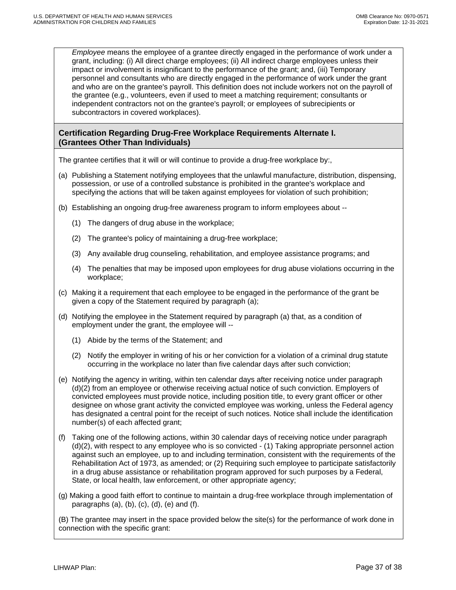*Employee* means the employee of a grantee directly engaged in the performance of work under a grant, including: (i) All direct charge employees; (ii) All indirect charge employees unless their impact or involvement is insignificant to the performance of the grant; and, (iii) Temporary personnel and consultants who are directly engaged in the performance of work under the grant and who are on the grantee's payroll. This definition does not include workers not on the payroll of the grantee (e.g., volunteers, even if used to meet a matching requirement; consultants or independent contractors not on the grantee's payroll; or employees of subrecipients or subcontractors in covered workplaces).

#### **Certification Regarding Drug-Free Workplace Requirements Alternate I. (Grantees Other Than Individuals)**

The grantee certifies that it will or will continue to provide a drug-free workplace by:,

- (a) Publishing a Statement notifying employees that the unlawful manufacture, distribution, dispensing, possession, or use of a controlled substance is prohibited in the grantee's workplace and specifying the actions that will be taken against employees for violation of such prohibition;
- (b) Establishing an ongoing drug-free awareness program to inform employees about --
	- (1) The dangers of drug abuse in the workplace;
	- (2) The grantee's policy of maintaining a drug-free workplace;
	- (3) Any available drug counseling, rehabilitation, and employee assistance programs; and
	- (4) The penalties that may be imposed upon employees for drug abuse violations occurring in the workplace;
- (c) Making it a requirement that each employee to be engaged in the performance of the grant be given a copy of the Statement required by paragraph (a);
- (d) Notifying the employee in the Statement required by paragraph (a) that, as a condition of employment under the grant, the employee will --
	- (1) Abide by the terms of the Statement; and
	- (2) Notify the employer in writing of his or her conviction for a violation of a criminal drug statute occurring in the workplace no later than five calendar days after such conviction;
- (e) Notifying the agency in writing, within ten calendar days after receiving notice under paragraph (d)(2) from an employee or otherwise receiving actual notice of such conviction. Employers of convicted employees must provide notice, including position title, to every grant officer or other designee on whose grant activity the convicted employee was working, unless the Federal agency has designated a central point for the receipt of such notices. Notice shall include the identification number(s) of each affected grant;
- (f) Taking one of the following actions, within 30 calendar days of receiving notice under paragraph (d)(2), with respect to any employee who is so convicted - (1) Taking appropriate personnel action against such an employee, up to and including termination, consistent with the requirements of the Rehabilitation Act of 1973, as amended; or (2) Requiring such employee to participate satisfactorily in a drug abuse assistance or rehabilitation program approved for such purposes by a Federal, State, or local health, law enforcement, or other appropriate agency;
- (g) Making a good faith effort to continue to maintain a drug-free workplace through implementation of paragraphs  $(a)$ ,  $(b)$ ,  $(c)$ ,  $(d)$ ,  $(e)$  and  $(f)$ .

(B) The grantee may insert in the space provided below the site(s) for the performance of work done in connection with the specific grant: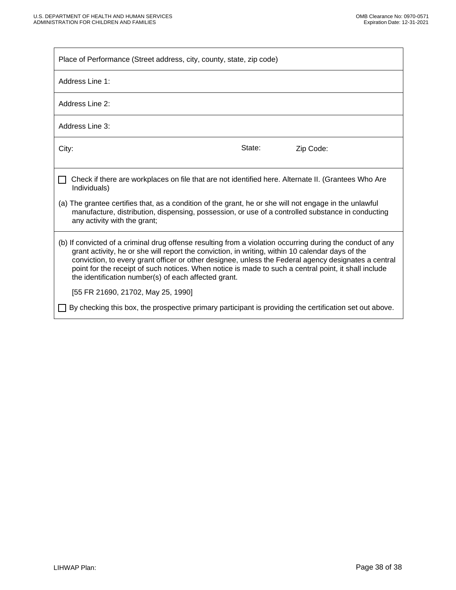| Place of Performance (Street address, city, county, state, zip code)                                                                                                                                                                                                                                                                                                                                                                                                                   |  |  |
|----------------------------------------------------------------------------------------------------------------------------------------------------------------------------------------------------------------------------------------------------------------------------------------------------------------------------------------------------------------------------------------------------------------------------------------------------------------------------------------|--|--|
| Address Line 1:                                                                                                                                                                                                                                                                                                                                                                                                                                                                        |  |  |
| Address Line 2:                                                                                                                                                                                                                                                                                                                                                                                                                                                                        |  |  |
| Address Line 3:                                                                                                                                                                                                                                                                                                                                                                                                                                                                        |  |  |
| State:<br>City:<br>Zip Code:                                                                                                                                                                                                                                                                                                                                                                                                                                                           |  |  |
| Check if there are workplaces on file that are not identified here. Alternate II. (Grantees Who Are<br>Individuals)                                                                                                                                                                                                                                                                                                                                                                    |  |  |
| (a) The grantee certifies that, as a condition of the grant, he or she will not engage in the unlawful<br>manufacture, distribution, dispensing, possession, or use of a controlled substance in conducting<br>any activity with the grant;                                                                                                                                                                                                                                            |  |  |
| (b) If convicted of a criminal drug offense resulting from a violation occurring during the conduct of any<br>grant activity, he or she will report the conviction, in writing, within 10 calendar days of the<br>conviction, to every grant officer or other designee, unless the Federal agency designates a central<br>point for the receipt of such notices. When notice is made to such a central point, it shall include<br>the identification number(s) of each affected grant. |  |  |
| [55 FR 21690, 21702, May 25, 1990]                                                                                                                                                                                                                                                                                                                                                                                                                                                     |  |  |
| By checking this box, the prospective primary participant is providing the certification set out above.                                                                                                                                                                                                                                                                                                                                                                                |  |  |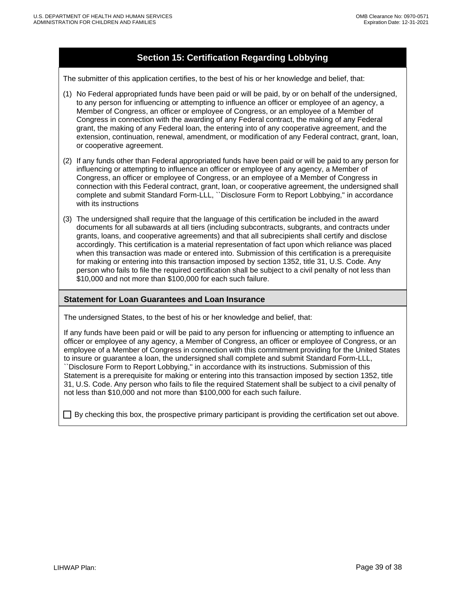## **Section 15: Certification Regarding Lobbying**

The submitter of this application certifies, to the best of his or her knowledge and belief, that:

- (1) No Federal appropriated funds have been paid or will be paid, by or on behalf of the undersigned, to any person for influencing or attempting to influence an officer or employee of an agency, a Member of Congress, an officer or employee of Congress, or an employee of a Member of Congress in connection with the awarding of any Federal contract, the making of any Federal grant, the making of any Federal loan, the entering into of any cooperative agreement, and the extension, continuation, renewal, amendment, or modification of any Federal contract, grant, loan, or cooperative agreement.
- (2) If any funds other than Federal appropriated funds have been paid or will be paid to any person for influencing or attempting to influence an officer or employee of any agency, a Member of Congress, an officer or employee of Congress, or an employee of a Member of Congress in connection with this Federal contract, grant, loan, or cooperative agreement, the undersigned shall complete and submit Standard Form-LLL, ``Disclosure Form to Report Lobbying,'' in accordance with its instructions
- (3) The undersigned shall require that the language of this certification be included in the award documents for all subawards at all tiers (including subcontracts, subgrants, and contracts under grants, loans, and cooperative agreements) and that all subrecipients shall certify and disclose accordingly. This certification is a material representation of fact upon which reliance was placed when this transaction was made or entered into. Submission of this certification is a prerequisite for making or entering into this transaction imposed by section 1352, title 31, U.S. Code. Any person who fails to file the required certification shall be subject to a civil penalty of not less than \$10,000 and not more than \$100,000 for each such failure.

#### **Statement for Loan Guarantees and Loan Insurance**

The undersigned States, to the best of his or her knowledge and belief, that:

If any funds have been paid or will be paid to any person for influencing or attempting to influence an officer or employee of any agency, a Member of Congress, an officer or employee of Congress, or an employee of a Member of Congress in connection with this commitment providing for the United States to insure or guarantee a loan, the undersigned shall complete and submit Standard Form-LLL, ``Disclosure Form to Report Lobbying,'' in accordance with its instructions. Submission of this Statement is a prerequisite for making or entering into this transaction imposed by section 1352, title 31, U.S. Code. Any person who fails to file the required Statement shall be subject to a civil penalty of not less than \$10,000 and not more than \$100,000 for each such failure.

 $\Box$  By checking this box, the prospective primary participant is providing the certification set out above.